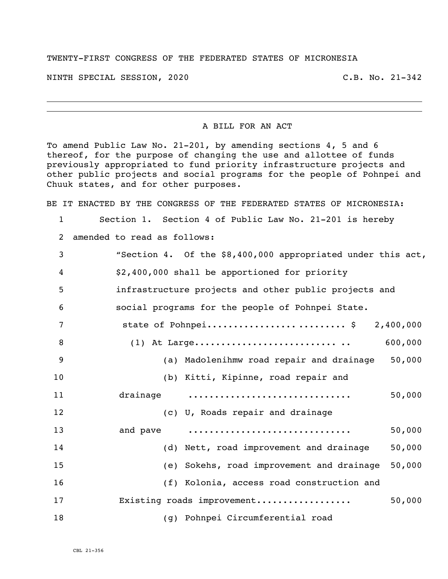## TWENTY-FIRST CONGRESS OF THE FEDERATED STATES OF MICRONESIA

NINTH SPECIAL SESSION, 2020 C.B. No. 21-342

## A BILL FOR AN ACT

To amend Public Law No. 21-201, by amending sections 4, 5 and 6 thereof, for the purpose of changing the use and allottee of funds previously appropriated to fund priority infrastructure projects and other public projects and social programs for the people of Pohnpei and Chuuk states, and for other purposes.

BE IT ENACTED BY THE CONGRESS OF THE FEDERATED STATES OF MICRONESIA:

Section 1. Section 4 of Public Law No. 21-201 is hereby

amended to read as follows:

| 3  | "Section 4. Of the \$8,400,000 appropriated under this act, |
|----|-------------------------------------------------------------|
| 4  | \$2,400,000 shall be apportioned for priority               |
| 5  | infrastructure projects and other public projects and       |
| 6  | social programs for the people of Pohnpei State.            |
| 7  | state of Pohnpei \$ 2,400,000                               |
| 8  | 600,000                                                     |
| 9  | (a) Madolenihmw road repair and drainage 50,000             |
| 10 | (b) Kitti, Kipinne, road repair and                         |
| 11 | drainage<br>50,000                                          |
| 12 | (c) U, Roads repair and drainage                            |
| 13 | 50,000<br>and pave                                          |
| 14 | (d) Nett, road improvement and drainage<br>50,000           |
| 15 | (e) Sokehs, road improvement and drainage<br>50,000         |
| 16 | (f) Kolonia, access road construction and                   |
| 17 | 50,000<br>Existing roads improvement                        |
| 18 | (g) Pohnpei Circumferential road                            |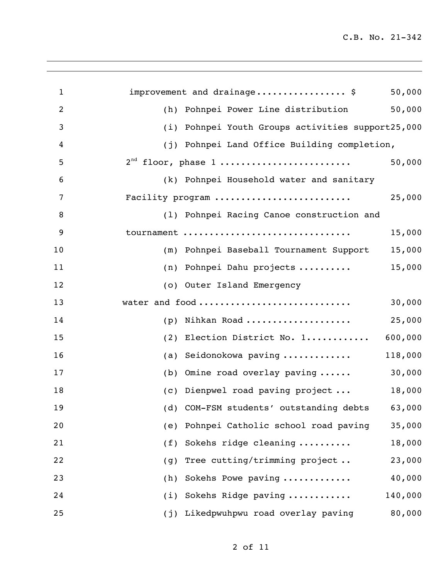| 1              | improvement and drainage\$<br>50,000                 |
|----------------|------------------------------------------------------|
| $\overline{2}$ | 50,000<br>(h)<br>Pohnpei Power Line distribution     |
| 3              | Pohnpei Youth Groups activities support25,000<br>(i) |
| 4              | (j) Pohnpei Land Office Building completion,         |
| 5              | $2nd$ floor, phase 1<br>50,000                       |
| 6              | (k) Pohnpei Household water and sanitary             |
| 7              | Facility program<br>25,000                           |
| 8              | (1) Pohnpei Racing Canoe construction and            |
| 9              | tournament<br>15,000                                 |
| 10             | 15,000<br>(m) Pohnpei Baseball Tournament Support    |
| 11             | 15,000<br>Pohnpei Dahu projects<br>(n)               |
| 12             | (o) Outer Island Emergency                           |
| 13             | water and food<br>30,000                             |
| 14             | Nihkan Road<br>25,000<br>(p)                         |
| 15             | 600,000<br>Election District No. 1<br>(2)            |
| 16             | 118,000<br>Seidonokowa paving<br>(a)                 |
| 17             | 30,000<br>Omine road overlay paving<br>(b)           |
| 18             | 18,000<br>(c) Dienpwel road paving project           |
| 19             | (d) COM-FSM students' outstanding debts 63,000       |
| 20             | Pohnpei Catholic school road paving<br>35,000<br>(e) |
| 21             | Sokehs ridge cleaning<br>18,000<br>(f)               |
| 22             | Tree cutting/trimming project<br>23,000<br>(g)       |
| 23             | Sokehs Powe paving<br>40,000<br>(h)                  |
| 24             | (i) Sokehs Ridge paving<br>140,000                   |
| 25             | 80,000<br>(j) Likedpwuhpwu road overlay paving       |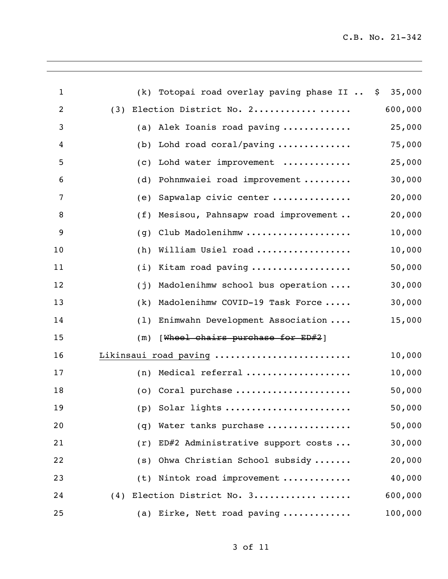| $\mathbf{1}$   |     | (k) Totopai road overlay paving phase II  \$ 35,000      |         |
|----------------|-----|----------------------------------------------------------|---------|
| $\overline{2}$ | (3) | Election District No. 2                                  | 600,000 |
| 3              |     | (a) Alek Ioanis road paving                              | 25,000  |
| 4              |     | (b) Lohd road coral/paving $\ldots \ldots \ldots \ldots$ | 75,000  |
| 5              | (C) | Lohd water improvement                                   | 25,000  |
| 6              | (d) | Pohnmwaiei road improvement                              | 30,000  |
| 7              | (e) | Sapwalap civic center                                    | 20,000  |
| 8              |     | (f) Mesisou, Pahnsapw road improvement                   | 20,000  |
| 9              | (g) | Club Madolenihmw                                         | 10,000  |
| 10             | (h) | William Usiel road                                       | 10,000  |
| 11             |     | (i) Kitam road paving                                    | 50,000  |
| 12             | (j) | Madolenihmw school bus operation                         | 30,000  |
| 13             |     | (k) Madolenihmw COVID-19 Task Force                      | 30,000  |
| 14             |     | (1) Enimwahn Development Association                     | 15,000  |
| 15             | (m) | [Wheel chairs purchase for ED#2]                         |         |
| 16             |     | Likinsaui road paving                                    | 10,000  |
| 17             |     | $(n)$ Medical referral                                   | 10,000  |
| 18             |     | (o) Coral purchase                                       | 50,000  |
| 19             |     |                                                          | 50,000  |
| 20             | (q) | Water tanks purchase                                     | 50,000  |
| 21             | (r) | ED#2 Administrative support costs                        | 30,000  |
| 22             | (S) | Ohwa Christian School subsidy                            | 20,000  |
| 23             |     | (t) Nintok road improvement                              | 40,000  |
| 24             |     | (4) Election District No. 3                              | 600,000 |
| 25             |     | (a) Eirke, Nett road paving                              | 100,000 |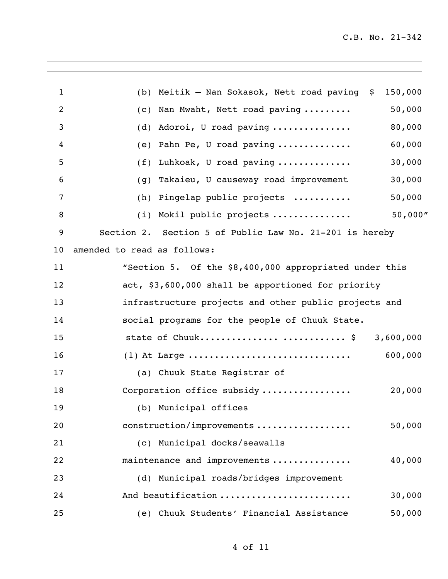| $\mathbf{1}$   | (b) Meitik - Nan Sokasok, Nett road paving $\zeta$      | 150,000   |
|----------------|---------------------------------------------------------|-----------|
| $\overline{2}$ | Nan Mwaht, Nett road paving<br>(C)                      | 50,000    |
| 3              | Adoroi, U road paving<br>(d)                            | 80,000    |
| 4              | Pahn Pe, U road paving<br>(e)                           | 60,000    |
| 5              | Luhkoak, U road paving<br>(f)                           | 30,000    |
| 6              | Takaieu, U causeway road improvement<br>(g)             | 30,000    |
| 7              | (h) Pingelap public projects                            | 50,000    |
| 8              | (i) Mokil public projects                               | 50,000"   |
| 9              | Section 2. Section 5 of Public Law No. 21-201 is hereby |           |
| 10             | amended to read as follows:                             |           |
| 11             | "Section 5. Of the \$8,400,000 appropriated under this  |           |
| 12             | act, \$3,600,000 shall be apportioned for priority      |           |
| 13             | infrastructure projects and other public projects and   |           |
| 14             | social programs for the people of Chuuk State.          |           |
| 15             | state of Chuuk\$                                        | 3,600,000 |
| 16             | $(1)$ At Large                                          | 600,000   |
| 17             | (a) Chuuk State Registrar of                            |           |
| 18             | Corporation office subsidy                              | 20,000    |
| 19             | (b) Municipal offices                                   |           |
| 20             | construction/improvements                               | 50,000    |
| 21             | (c) Municipal docks/seawalls                            |           |
| 22             | maintenance and improvements                            | 40,000    |
| 23             | (d) Municipal roads/bridges improvement                 |           |
| 24             | And beautification                                      | 30,000    |
| 25             | (e) Chuuk Students' Financial Assistance                | 50,000    |
|                |                                                         |           |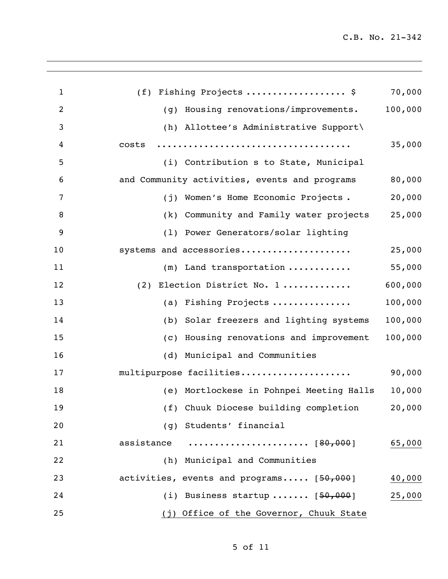| $\mathbf{1}$   | (f) Fishing Projects  \$                                  | 70,000  |
|----------------|-----------------------------------------------------------|---------|
| $\overline{2}$ | Housing renovations/improvements.<br>(q)                  | 100,000 |
| 3              | (h) Allottee's Administrative Support\                    |         |
| 4              | costs                                                     | 35,000  |
| 5              | (i) Contribution s to State, Municipal                    |         |
| 6              | and Community activities, events and programs             | 80,000  |
| 7              | (j) Women's Home Economic Projects.                       | 20,000  |
| 8              | (k) Community and Family water projects                   | 25,000  |
| 9              | (1) Power Generators/solar lighting                       |         |
| 10             | systems and accessories                                   | 25,000  |
| 11             | $(m)$ Land transportation                                 | 55,000  |
| 12             | (2) Election District No. 1                               | 600,000 |
| 13             | (a) Fishing Projects                                      | 100,000 |
| 14             | (b) Solar freezers and lighting systems                   | 100,000 |
| 15             | (c) Housing renovations and improvement                   | 100,000 |
| 16             | (d) Municipal and Communities                             |         |
| 17             | multipurpose facilities                                   | 90,000  |
| 18             | (e) Mortlockese in Pohnpei Meeting Halls                  | 10,000  |
| 19             | (f) Chuuk Diocese building completion                     | 20,000  |
| 20             | (g) Students' financial                                   |         |
| 21             | assistance $\dots\dots\dots\dots\dots\dots\dots$ [80,000] | 65,000  |
| 22             | (h) Municipal and Communities                             |         |
| 23             | activities, events and programs [50,000]                  | 40,000  |
| 24             | (i) Business startup $[50,000]$                           | 25,000  |
| 25             | (j) Office of the Governor, Chuuk State                   |         |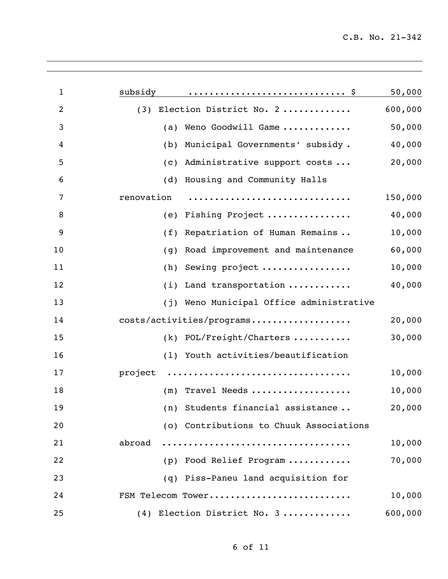| $\mathbf{1}$   | subsidy    |                                         | 50,000  |
|----------------|------------|-----------------------------------------|---------|
| $\overline{2}$ | (3)        | Election District No. 2                 | 600,000 |
| 3              | (a)        | Weno Goodwill Game                      | 50,000  |
| 4              | (b)        | Municipal Governments' subsidy.         | 40,000  |
| 5              | (c)        | Administrative support costs            | 20,000  |
| 6              | (d)        | Housing and Community Halls             |         |
| 7              | renovation |                                         | 150,000 |
| 8              | (e)        | Fishing Project                         | 40,000  |
| 9              | (f)        | Repatriation of Human Remains           | 10,000  |
| 10             | (g)        | Road improvement and maintenance        | 60,000  |
| 11             | (h)        | Sewing project                          | 10,000  |
| 12             | (i)        | Land transportation                     | 40,000  |
| 13             | (i)        | Weno Municipal Office administrative    |         |
| 14             |            | costs/activities/programs               | 20,000  |
| 15             | (k)        | POL/Freight/Charters                    | 30,000  |
| 16             |            | (1) Youth activities/beautification     |         |
| 17             | project    |                                         | 10,000  |
| 18             |            | $(m)$ Travel Needs                      | 10,000  |
| 19             |            | (n) Students financial assistance       | 20,000  |
| 20             |            | (o) Contributions to Chuuk Associations |         |
| 21             | abroad     |                                         | 10,000  |
| 22             |            | (p) Food Relief Program                 | 70,000  |
| 23             |            | (q) Piss-Paneu land acquisition for     |         |
| 24             |            | FSM Telecom Tower                       | 10,000  |
| 25             |            | (4) Election District No. 3             | 600,000 |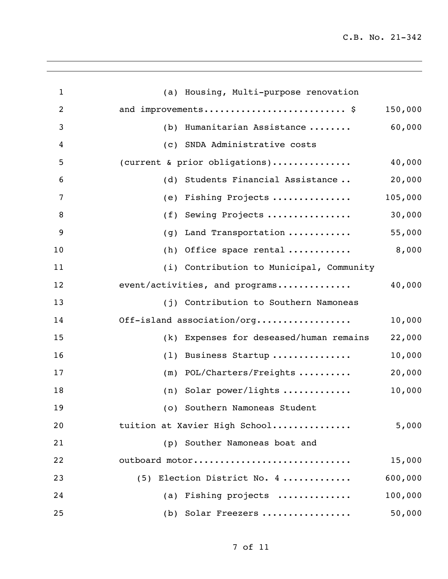| $\mathbf{1}$   | (a) Housing, Multi-purpose renovation    |         |
|----------------|------------------------------------------|---------|
| $\overline{2}$ | and improvements \$                      | 150,000 |
| 3              | Humanitarian Assistance<br>(b)           | 60,000  |
| 4              | (c) SNDA Administrative costs            |         |
| 5              | (current & prior obligations)            | 40,000  |
| 6              | (d) Students Financial Assistance        | 20,000  |
| 7              | Fishing Projects<br>(e)                  | 105,000 |
| 8              | Sewing Projects<br>(f)                   | 30,000  |
| 9              | Land Transportation<br>(g)               | 55,000  |
| 10             | $(h)$ Office space rental                | 8,000   |
| 11             | (i) Contribution to Municipal, Community |         |
| 12             | event/activities, and programs           | 40,000  |
| 13             | (j) Contribution to Southern Namoneas    |         |
| 14             | Off-island association/org               | 10,000  |
| 15             | (k) Expenses for deseased/human remains  | 22,000  |
| 16             | Business Startup<br>(1)                  | 10,000  |
| 17             | POL/Charters/Freights<br>(m)             | 20,000  |
| 18             | $(n)$ Solar power/lights                 | 10,000  |
| 19             | (o) Southern Namoneas Student            |         |
| 20             | tuition at Xavier High School            | 5,000   |
| 21             | (p) Souther Namoneas boat and            |         |
| 22             | outboard motor                           | 15,000  |
| 23             | (5) Election District No. 4              | 600,000 |
| 24             | (a) Fishing projects                     | 100,000 |
| 25             | (b) Solar Freezers                       | 50,000  |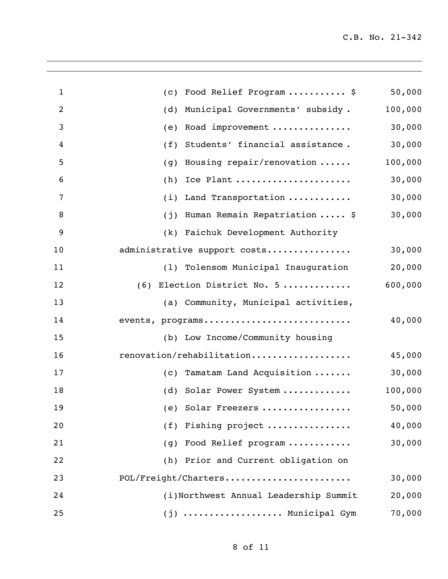| $\mathbf{1}$   | Food Relief Program  \$<br>(C)         | 50,000  |
|----------------|----------------------------------------|---------|
| $\overline{2}$ | Municipal Governments' subsidy.<br>(d) | 100,000 |
| 3              | Road improvement<br>(e)                | 30,000  |
| 4              | Students' financial assistance.<br>(f) | 30,000  |
| 5              | Housing repair/renovation<br>(g)       | 100,000 |
| 6              | Ice Plant<br>(h)                       | 30,000  |
| 7              | Land Transportation<br>(i)             | 30,000  |
| 8              | Human Remain Repatriation  \$<br>(j)   | 30,000  |
| 9              | (k) Faichuk Development Authority      |         |
| 10             | administrative support costs           | 30,000  |
| 11             | (1) Tolensom Municipal Inauguration    | 20,000  |
| 12             | $(6)$ Election District No. 5          | 600,000 |
| 13             | (a) Community, Municipal activities,   |         |
| 14             | events, programs                       | 40,000  |
| 15             | (b) Low Income/Community housing       |         |
| 16             | renovation/rehabilitation              | 45,000  |
| 17             | (c) Tamatam Land Acquisition           | 30,000  |
| 18             | (d) Solar Power System                 | 100,000 |
| 19             | (e) Solar Freezers                     | 50,000  |
| 20             | (f) Fishing project                    | 40,000  |
| 21             | (g) Food Relief program                | 30,000  |
| 22             | (h) Prior and Current obligation on    |         |
| 23             | POL/Freight/Charters                   | 30,000  |
| 24             | (i)Northwest Annual Leadership Summit  | 20,000  |
| 25             | (j)  Municipal Gym                     | 70,000  |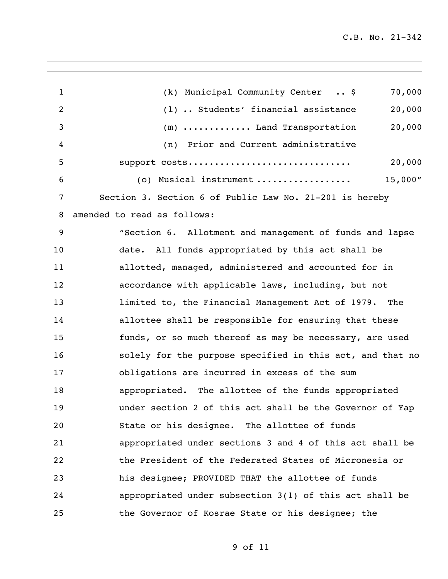| $\mathbf{1}$ | 70,000<br>(k) Municipal Community Center  \$                            |
|--------------|-------------------------------------------------------------------------|
| 2            | (1)  Students' financial assistance<br>20,000                           |
| 3            | 20,000<br>(m)  Land Transportation                                      |
| 4            | (n) Prior and Current administrative                                    |
| 5            | 20,000<br>support costs                                                 |
| 6            | 15,000''<br>(o) Musical instrument $\ldots \ldots \ldots \ldots \ldots$ |
| 7            | Section 3. Section 6 of Public Law No. 21-201 is hereby                 |
| 8            | amended to read as follows:                                             |
| 9            | "Section 6. Allotment and management of funds and lapse                 |
| 10           | date. All funds appropriated by this act shall be                       |
| 11           | allotted, managed, administered and accounted for in                    |
| 12           | accordance with applicable laws, including, but not                     |
| 13           | limited to, the Financial Management Act of 1979. The                   |
| 14           | allottee shall be responsible for ensuring that these                   |
| 15           | funds, or so much thereof as may be necessary, are used                 |
| 16           | solely for the purpose specified in this act, and that no               |
| 17           | obligations are incurred in excess of the sum                           |
| 18           | appropriated. The allottee of the funds appropriated                    |
| 19           | under section 2 of this act shall be the Governor of Yap                |
| 20           | State or his designee. The allottee of funds                            |
| 21           | appropriated under sections 3 and 4 of this act shall be                |
| 22           | the President of the Federated States of Micronesia or                  |
| 23           | his designee; PROVIDED THAT the allottee of funds                       |
| 24           | appropriated under subsection $3(1)$ of this act shall be               |
| 25           | the Governor of Kosrae State or his designee; the                       |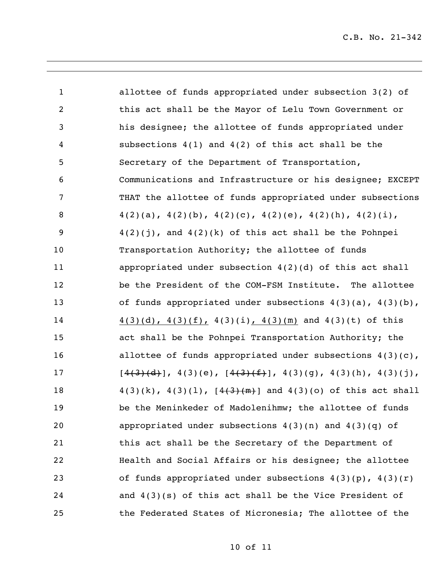| $\mathbf{1}$   | allottee of funds appropriated under subsection $3(2)$ of               |
|----------------|-------------------------------------------------------------------------|
| $\overline{2}$ | this act shall be the Mayor of Lelu Town Government or                  |
| 3              | his designee; the allottee of funds appropriated under                  |
| 4              | subsections $4(1)$ and $4(2)$ of this act shall be the                  |
| 5              | Secretary of the Department of Transportation,                          |
| 6              | Communications and Infrastructure or his designee; EXCEPT               |
| 7              | THAT the allottee of funds appropriated under subsections               |
| 8              | $4(2)(a)$ , $4(2)(b)$ , $4(2)(c)$ , $4(2)(e)$ , $4(2)(h)$ , $4(2)(i)$ , |
| 9              | $4(2)(j)$ , and $4(2)(k)$ of this act shall be the Pohnpei              |
| 10             | Transportation Authority; the allottee of funds                         |
| 11             | appropriated under subsection $4(2)(d)$ of this act shall               |
| 12             | be the President of the COM-FSM Institute. The allottee                 |
| 13             | of funds appropriated under subsections $4(3)(a)$ , $4(3)(b)$ ,         |
| 14             | $4(3)(d)$ , $4(3)(f)$ , $4(3)(i)$ , $4(3)(m)$ and $4(3)(t)$ of this     |
| 15             | act shall be the Pohnpei Transportation Authority; the                  |
| 16             | allottee of funds appropriated under subsections $4(3)(c)$ ,            |
| 17             | $[4(3)(d)]$ , 4(3)(e), $[4(3)(f)]$ , 4(3)(g), 4(3)(h), 4(3)(j),         |
| 18             | $4(3)(k)$ , $4(3)(1)$ , $[4(3)(m)]$ and $4(3)(o)$ of this act shall     |
| 19             | be the Meninkeder of Madolenihmw; the allottee of funds                 |
| 20             | appropriated under subsections $4(3)(n)$ and $4(3)(q)$ of               |
| 21             | this act shall be the Secretary of the Department of                    |
| 22             | Health and Social Affairs or his designee; the allottee                 |
| 23             | of funds appropriated under subsections $4(3)(p)$ , $4(3)(r)$           |
| 24             | and $4(3)(s)$ of this act shall be the Vice President of                |
| 25             | the Federated States of Micronesia; The allottee of the                 |